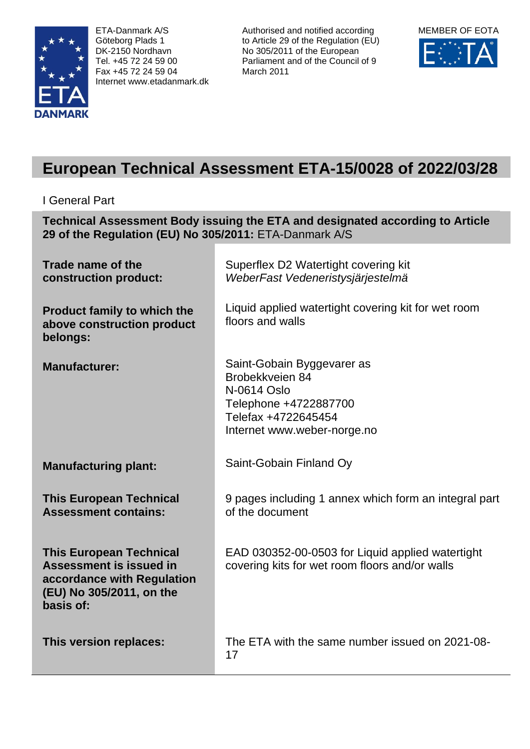

ETA-Danmark A/S Göteborg Plads 1 DK-2150 Nordhavn Tel. +45 72 24 59 00 Fax +45 72 24 59 04 Internet www.etadanmark.dk

Authorised and notified according to Article 29 of the Regulation (EU) No 305/2011 of the European Parliament and of the Council of 9 March 2011



# **European Technical Assessment ETA-15/0028 of 2022/03/28**

I General Part

**Technical Assessment Body issuing the ETA and designated according to Article 29 of the Regulation (EU) No 305/2011:** ETA-Danmark A/S

| Trade name of the<br>construction product:                                                                                       | Superflex D2 Watertight covering kit<br>WeberFast Vedeneristysjärjestelmä                                                                   |  |
|----------------------------------------------------------------------------------------------------------------------------------|---------------------------------------------------------------------------------------------------------------------------------------------|--|
| <b>Product family to which the</b><br>above construction product<br>belongs:                                                     | Liquid applied watertight covering kit for wet room<br>floors and walls                                                                     |  |
| <b>Manufacturer:</b>                                                                                                             | Saint-Gobain Byggevarer as<br>Brobekkveien 84<br>N-0614 Oslo<br>Telephone +4722887700<br>Telefax +4722645454<br>Internet www.weber-norge.no |  |
| <b>Manufacturing plant:</b>                                                                                                      | Saint-Gobain Finland Oy                                                                                                                     |  |
| <b>This European Technical</b><br><b>Assessment contains:</b>                                                                    | 9 pages including 1 annex which form an integral part<br>of the document                                                                    |  |
| <b>This European Technical</b><br>Assessment is issued in<br>accordance with Regulation<br>(EU) No 305/2011, on the<br>basis of: | EAD 030352-00-0503 for Liquid applied watertight<br>covering kits for wet room floors and/or walls                                          |  |
| This version replaces:                                                                                                           | The ETA with the same number issued on 2021-08-<br>17                                                                                       |  |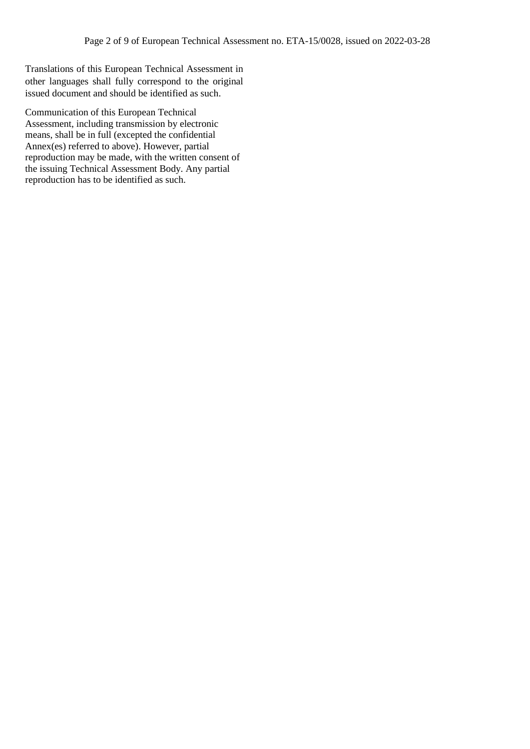Translations of this European Technical Assessment in other languages shall fully correspond to the original issued document and should be identified as such.

Communication of this European Technical Assessment, including transmission by electronic means, shall be in full (excepted the confidential Annex(es) referred to above). However, partial reproduction may be made, with the written consent of the issuing Technical Assessment Body. Any partial reproduction has to be identified as such.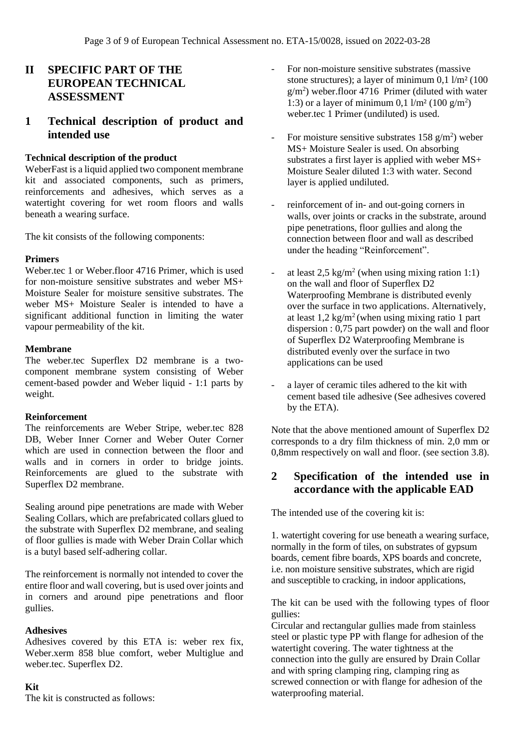# **II SPECIFIC PART OF THE EUROPEAN TECHNICAL ASSESSMENT**

# **1 Technical description of product and intended use**

## **Technical description of the product**

WeberFast is a liquid applied two component membrane kit and associated components, such as primers, reinforcements and adhesives, which serves as a watertight covering for wet room floors and walls beneath a wearing surface.

The kit consists of the following components:

#### **Primers**

Weber.tec 1 or Weber.floor 4716 Primer, which is used for non-moisture sensitive substrates and weber MS+ Moisture Sealer for moisture sensitive substrates. The weber MS+ Moisture Sealer is intended to have a significant additional function in limiting the water vapour permeability of the kit.

#### **Membrane**

The weber.tec Superflex D2 membrane is a twocomponent membrane system consisting of Weber cement-based powder and Weber liquid - 1:1 parts by weight.

#### **Reinforcement**

The reinforcements are Weber Stripe, weber.tec 828 DB, Weber Inner Corner and Weber Outer Corner which are used in connection between the floor and walls and in corners in order to bridge joints. Reinforcements are glued to the substrate with Superflex D2 membrane.

Sealing around pipe penetrations are made with Weber Sealing Collars, which are prefabricated collars glued to the substrate with Superflex D2 membrane, and sealing of floor gullies is made with Weber Drain Collar which is a butyl based self-adhering collar.

The reinforcement is normally not intended to cover the entire floor and wall covering, but is used over joints and in corners and around pipe penetrations and floor gullies.

#### **Adhesives**

Adhesives covered by this ETA is: weber rex fix, Weber.xerm 858 blue comfort, weber Multiglue and weber.tec. Superflex D2.

#### **Kit**

The kit is constructed as follows:

- For non-moisture sensitive substrates (massive stone structures); a layer of minimum  $0.1 \frac{\mu}{m^2}$  (100)  $g/m<sup>2</sup>$ ) weber.floor 4716 Primer (diluted with water 1:3) or a layer of minimum 0,1  $1/m^2$  (100  $g/m^2$ ) weber.tec 1 Primer (undiluted) is used.
- For moisture sensitive substrates  $158 \text{ g/m}^2$ ) weber MS+ Moisture Sealer is used. On absorbing substrates a first layer is applied with weber MS+ Moisture Sealer diluted 1:3 with water. Second layer is applied undiluted.
- reinforcement of in- and out-going corners in walls, over joints or cracks in the substrate, around pipe penetrations, floor gullies and along the connection between floor and wall as described under the heading "Reinforcement".
- at least  $2.5 \text{ kg/m}^2$  (when using mixing ration 1:1) on the wall and floor of Superflex D2 Waterproofing Membrane is distributed evenly over the surface in two applications. Alternatively, at least  $1.2 \text{ kg/m}^2$  (when using mixing ratio 1 part dispersion : 0,75 part powder) on the wall and floor of Superflex D2 Waterproofing Membrane is distributed evenly over the surface in two applications can be used
- a layer of ceramic tiles adhered to the kit with cement based tile adhesive (See adhesives covered by the ETA).

Note that the above mentioned amount of Superflex D2 corresponds to a dry film thickness of min. 2,0 mm or 0,8mm respectively on wall and floor. (see section 3.8).

# **2 Specification of the intended use in accordance with the applicable EAD**

The intended use of the covering kit is:

1. watertight covering for use beneath a wearing surface, normally in the form of tiles, on substrates of gypsum boards, cement fibre boards, XPS boards and concrete, i.e. non moisture sensitive substrates, which are rigid and susceptible to cracking, in indoor applications,

The kit can be used with the following types of floor gullies:

Circular and rectangular gullies made from stainless steel or plastic type PP with flange for adhesion of the watertight covering. The water tightness at the connection into the gully are ensured by Drain Collar and with spring clamping ring, clamping ring as screwed connection or with flange for adhesion of the waterproofing material.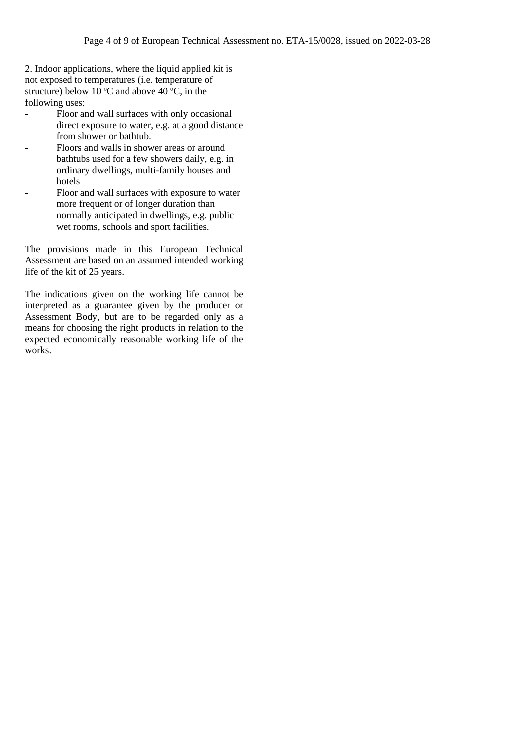2. Indoor applications, where the liquid applied kit is not exposed to temperatures (i.e. temperature of structure) below 10  $\degree$ C and above 40  $\degree$ C, in the following uses:

- Floor and wall surfaces with only occasional direct exposure to water, e.g. at a good distance from shower or bathtub.
- Floors and walls in shower areas or around bathtubs used for a few showers daily, e.g. in ordinary dwellings, multi-family houses and hotels
- Floor and wall surfaces with exposure to water more frequent or of longer duration than normally anticipated in dwellings, e.g. public wet rooms, schools and sport facilities.

The provisions made in this European Technical Assessment are based on an assumed intended working life of the kit of 25 years.

The indications given on the working life cannot be interpreted as a guarantee given by the producer or Assessment Body, but are to be regarded only as a means for choosing the right products in relation to the expected economically reasonable working life of the works.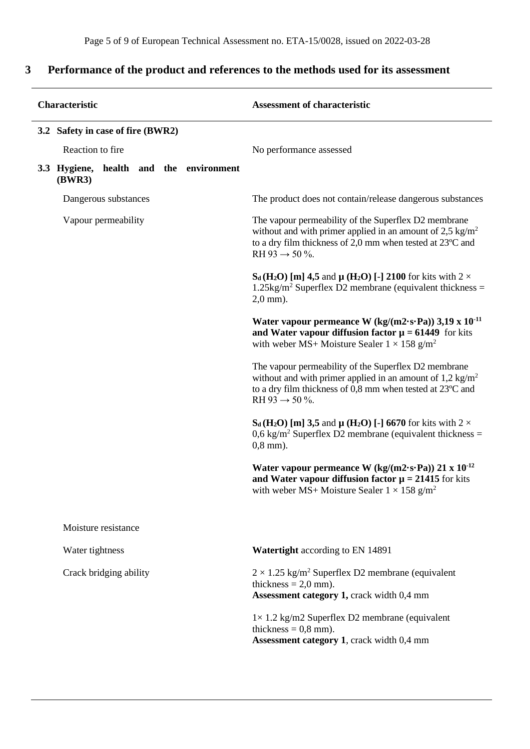# **3 Performance of the product and references to the methods used for its assessment**

L,

| Characteristic |                                   |                        |  |                                                                                                                                                                                                                         | <b>Assessment of characteristic</b>     |                                                                                                                                                                                                                        |
|----------------|-----------------------------------|------------------------|--|-------------------------------------------------------------------------------------------------------------------------------------------------------------------------------------------------------------------------|-----------------------------------------|------------------------------------------------------------------------------------------------------------------------------------------------------------------------------------------------------------------------|
|                | 3.2 Safety in case of fire (BWR2) |                        |  |                                                                                                                                                                                                                         |                                         |                                                                                                                                                                                                                        |
|                | Reaction to fire                  |                        |  | No performance assessed                                                                                                                                                                                                 |                                         |                                                                                                                                                                                                                        |
|                | (BWR3)                            |                        |  |                                                                                                                                                                                                                         | 3.3 Hygiene, health and the environment |                                                                                                                                                                                                                        |
|                |                                   | Dangerous substances   |  |                                                                                                                                                                                                                         |                                         | The product does not contain/release dangerous substances                                                                                                                                                              |
|                | Vapour permeability               |                        |  | The vapour permeability of the Superflex D2 membrane<br>without and with primer applied in an amount of 2,5 kg/m <sup>2</sup><br>to a dry film thickness of 2,0 mm when tested at 23°C and<br>RH 93 $\rightarrow$ 50 %. |                                         |                                                                                                                                                                                                                        |
|                |                                   |                        |  |                                                                                                                                                                                                                         |                                         | $S_d$ (H <sub>2</sub> O) [m] 4,5 and $\mu$ (H <sub>2</sub> O) [-] 2100 for kits with 2 $\times$<br>$1.25\text{kg/m}^2$ Superflex D2 membrane (equivalent thickness =<br>$2,0$ mm).                                     |
|                |                                   |                        |  |                                                                                                                                                                                                                         |                                         | Water vapour permeance W $(kg/(m2 \cdot s \cdot Pa))$ 3,19 x $10^{-11}$<br>and Water vapour diffusion factor $\mu = 61449$ for kits<br>with weber MS+ Moisture Sealer $1 \times 158$ g/m <sup>2</sup>                  |
|                |                                   |                        |  |                                                                                                                                                                                                                         |                                         | The vapour permeability of the Superflex D2 membrane<br>without and with primer applied in an amount of $1,2 \text{ kg/m}^2$<br>to a dry film thickness of 0,8 mm when tested at 23°C and<br>RH 93 $\rightarrow$ 50 %. |
|                |                                   |                        |  |                                                                                                                                                                                                                         |                                         | $S_d(H_2O)$ [m] 3,5 and $\mu(H_2O)$ [-] 6670 for kits with 2 $\times$<br>$0.6 \text{ kg/m}^2$ Superflex D2 membrane (equivalent thickness =<br>$0,8$ mm).                                                              |
|                |                                   |                        |  |                                                                                                                                                                                                                         |                                         | Water vapour permeance W $(kg/(m2 \cdot s \cdot Pa))$ 21 x 10 <sup>-12</sup><br>and Water vapour diffusion factor $\mu = 21415$ for kits<br>with weber MS+ Moisture Sealer $1 \times 158$ g/m <sup>2</sup>             |
|                |                                   | Moisture resistance    |  |                                                                                                                                                                                                                         |                                         |                                                                                                                                                                                                                        |
|                | Water tightness                   |                        |  |                                                                                                                                                                                                                         |                                         | Watertight according to EN 14891                                                                                                                                                                                       |
|                |                                   | Crack bridging ability |  |                                                                                                                                                                                                                         |                                         | $2 \times 1.25$ kg/m <sup>2</sup> Superflex D2 membrane (equivalent<br>thickness = $2,0$ mm).<br>Assessment category 1, crack width 0,4 mm                                                                             |
|                |                                   |                        |  |                                                                                                                                                                                                                         |                                         | $1 \times 1.2$ kg/m2 Superflex D2 membrane (equivalent<br>thickness = $0,8$ mm).<br>Assessment category 1, crack width 0,4 mm                                                                                          |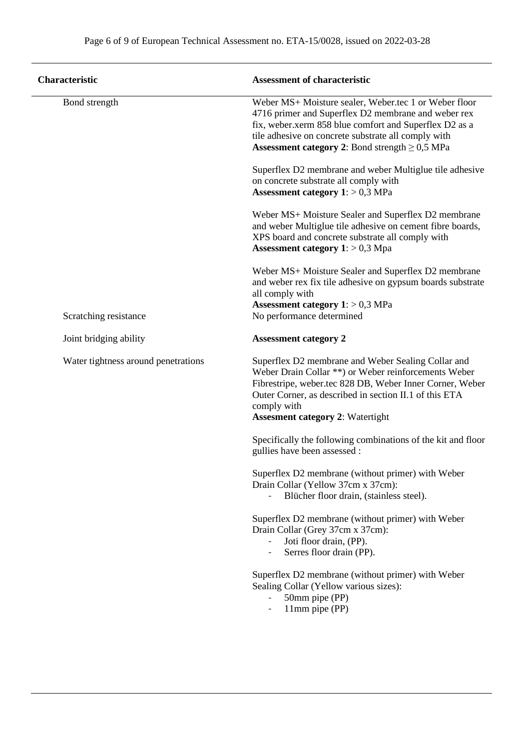| <b>Characteristic</b>               | <b>Assessment of characteristic</b>                                                                                                                                                                                                                                                         |  |  |  |
|-------------------------------------|---------------------------------------------------------------------------------------------------------------------------------------------------------------------------------------------------------------------------------------------------------------------------------------------|--|--|--|
| Bond strength                       | Weber MS+ Moisture sealer, Weber.tec 1 or Weber floor<br>4716 primer and Superflex D2 membrane and weber rex<br>fix, weber.xerm 858 blue comfort and Superflex D2 as a<br>tile adhesive on concrete substrate all comply with<br><b>Assessment category 2:</b> Bond strength $\geq 0.5$ MPa |  |  |  |
|                                     | Superflex D2 membrane and weber Multiglue tile adhesive<br>on concrete substrate all comply with<br><b>Assessment category 1:</b> $> 0.3$ MPa                                                                                                                                               |  |  |  |
|                                     | Weber MS+ Moisture Sealer and Superflex D2 membrane<br>and weber Multiglue tile adhesive on cement fibre boards,<br>XPS board and concrete substrate all comply with<br><b>Assessment category 1</b> : $> 0.3$ Mpa                                                                          |  |  |  |
| Scratching resistance               | Weber MS+ Moisture Sealer and Superflex D2 membrane<br>and weber rex fix tile adhesive on gypsum boards substrate<br>all comply with<br>Assessment category $1:$ > 0,3 MPa<br>No performance determined                                                                                     |  |  |  |
| Joint bridging ability              | <b>Assessment category 2</b>                                                                                                                                                                                                                                                                |  |  |  |
| Water tightness around penetrations | Superflex D2 membrane and Weber Sealing Collar and<br>Weber Drain Collar **) or Weber reinforcements Weber<br>Fibrestripe, weber.tec 828 DB, Weber Inner Corner, Weber<br>Outer Corner, as described in section II.1 of this ETA<br>comply with<br><b>Assesment category 2: Watertight</b>  |  |  |  |
|                                     | Specifically the following combinations of the kit and floor<br>gullies have been assessed :                                                                                                                                                                                                |  |  |  |
|                                     | Superflex D2 membrane (without primer) with Weber<br>Drain Collar (Yellow 37cm x 37cm):<br>Blücher floor drain, (stainless steel).                                                                                                                                                          |  |  |  |
|                                     | Superflex D2 membrane (without primer) with Weber<br>Drain Collar (Grey 37cm x 37cm):<br>Joti floor drain, (PP).<br>Serres floor drain (PP).                                                                                                                                                |  |  |  |
|                                     | Superflex D2 membrane (without primer) with Weber<br>Sealing Collar (Yellow various sizes):<br>50mm pipe (PP)<br>11mm pipe (PP)                                                                                                                                                             |  |  |  |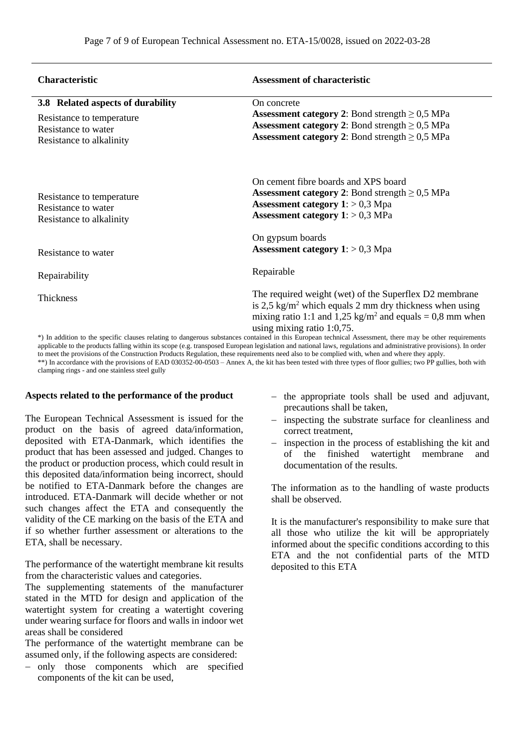| <b>Characteristic</b>                                                                                                                                    | <b>Assessment of characteristic</b>                                  |  |  |  |
|----------------------------------------------------------------------------------------------------------------------------------------------------------|----------------------------------------------------------------------|--|--|--|
| 3.8 Related aspects of durability                                                                                                                        | On concrete                                                          |  |  |  |
| Resistance to temperature                                                                                                                                | <b>Assessment category 2:</b> Bond strength $\geq 0.5$ MPa           |  |  |  |
| Resistance to water                                                                                                                                      | <b>Assessment category 2:</b> Bond strength $\geq 0.5$ MPa           |  |  |  |
| Resistance to alkalinity                                                                                                                                 | <b>Assessment category 2:</b> Bond strength $\geq 0.5$ MPa           |  |  |  |
|                                                                                                                                                          | On cement fibre boards and XPS board                                 |  |  |  |
| Resistance to temperature                                                                                                                                | <b>Assessment category 2:</b> Bond strength $\geq 0.5$ MPa           |  |  |  |
| Resistance to water                                                                                                                                      | <b>Assessment category 1</b> : $> 0.3$ Mpa                           |  |  |  |
| Resistance to alkalinity                                                                                                                                 | <b>Assessment category 1:</b> $> 0.3$ MPa                            |  |  |  |
|                                                                                                                                                          | On gypsum boards                                                     |  |  |  |
| Resistance to water                                                                                                                                      | <b>Assessment category 1</b> : $> 0.3$ Mpa                           |  |  |  |
| Repairability                                                                                                                                            | Repairable                                                           |  |  |  |
| Thickness                                                                                                                                                | The required weight (wet) of the Superflex D2 membrane               |  |  |  |
|                                                                                                                                                          | is 2,5 kg/m <sup>2</sup> which equals 2 mm dry thickness when using  |  |  |  |
|                                                                                                                                                          | mixing ratio 1:1 and 1,25 kg/m <sup>2</sup> and equals = 0,8 mm when |  |  |  |
|                                                                                                                                                          | using mixing ratio $1:0,75$ .                                        |  |  |  |
| *) In addition to the specific clauses relating to dangerous substances contained in this European technical Assessment, there may be other requirements |                                                                      |  |  |  |

applicable to the products falling within its scope (e.g. transposed European legislation and national laws, regulations and administrative provisions). In order to meet the provisions of the Construction Products Regulation, these requirements need also to be complied with, when and where they apply. \*\*) In accordance with the provisions of EAD 030352-00-0503 – Annex A, the kit has been tested with three types of floor gullies; two PP gullies, both with clamping rings - and one stainless steel gully

#### **Aspects related to the performance of the product**

The European Technical Assessment is issued for the product on the basis of agreed data/information, deposited with ETA-Danmark, which identifies the product that has been assessed and judged. Changes to the product or production process, which could result in this deposited data/information being incorrect, should be notified to ETA-Danmark before the changes are introduced. ETA-Danmark will decide whether or not such changes affect the ETA and consequently the validity of the CE marking on the basis of the ETA and if so whether further assessment or alterations to the ETA, shall be necessary.

The performance of the watertight membrane kit results from the characteristic values and categories.

The supplementing statements of the manufacturer stated in the MTD for design and application of the watertight system for creating a watertight covering under wearing surface for floors and walls in indoor wet areas shall be considered

The performance of the watertight membrane can be assumed only, if the following aspects are considered:

− only those components which are specified components of the kit can be used,

- − the appropriate tools shall be used and adjuvant, precautions shall be taken,
- inspecting the substrate surface for cleanliness and correct treatment,
- − inspection in the process of establishing the kit and of the finished watertight membrane and documentation of the results.

The information as to the handling of waste products shall be observed.

It is the manufacturer's responsibility to make sure that all those who utilize the kit will be appropriately informed about the specific conditions according to this ETA and the not confidential parts of the MTD deposited to this ETA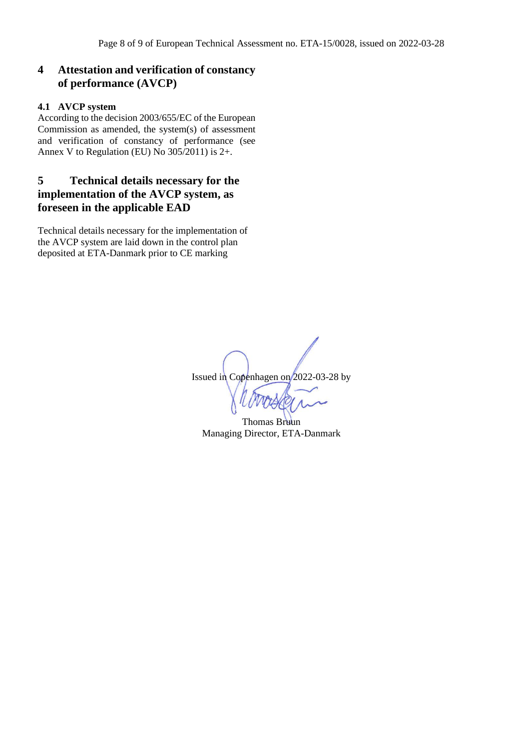# **4 Attestation and verification of constancy of performance (AVCP)**

## **4.1 AVCP system**

According to the decision 2003/655/EC of the European Commission as amended, the system(s) of assessment and verification of constancy of performance (see Annex V to Regulation (EU) No 305/2011) is 2+.

# **5 Technical details necessary for the implementation of the AVCP system, as foreseen in the applicable EAD**

Technical details necessary for the implementation of the AVCP system are laid down in the control plan deposited at ETA-Danmark prior to CE marking

Issued in Copenhagen on 2022-03-28 by

Thomas Bruun Managing Director, ETA-Danmark